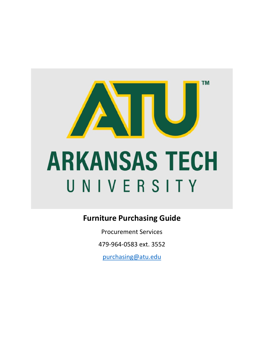

## **Furniture Purchasing Guide**

Procurement Services

479-964-0583 ext. 3552

[purchasing@atu.edu](mailto:purchasing@atu.edu)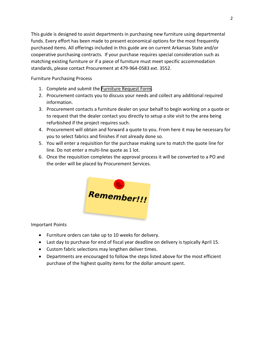This guide is designed to assist departments in purchasing new furniture using departmental funds. Every effort has been made to present economical options for the most frequently purchased items. All offerings included in this guide are on current Arkansas State and/or cooperative purchasing contracts. If your purchase requires special consideration such as matching existing furniture or if a piece of furniture must meet specific accommodation standards, please contact Procurement at 479-964-0583 ext. 3552.

Furniture Purchasing Process

- 1. Complete and submit the [Furniture Request Form.](https://www.atu.edu/purchasing/docs/Furniture%20Request%20Form.pdf)
- 2. Procurement contacts you to discuss your needs and collect any additional required information.
- 3. Procurement contacts a furniture dealer on your behalf to begin working on a quote or to request that the dealer contact you directly to setup a site visit to the area being refurbished if the project requires such.
- 4. Procurement will obtain and forward a quote to you. From here it may be necessary for you to select fabrics and finishes if not already done so.
- 5. You will enter a requisition for the purchase making sure to match the quote line for line. Do not enter a multi-line quote as 1 lot.
- 6. Once the requisition completes the approval process it will be converted to a PO and the order will be placed by Procurement Services.



Important Points

- Furniture orders can take up to 10 weeks for delivery.
- Last day to purchase for end of fiscal year deadline on delivery is typically April 15.
- Custom fabric selections may lengthen deliver times.
- Departments are encouraged to follow the steps listed above for the most efficient purchase of the highest quality items for the dollar amount spent.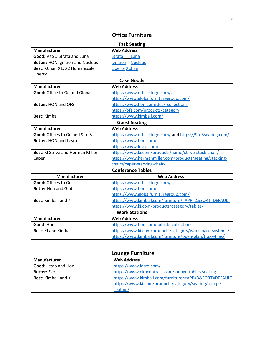| <b>Office Furniture</b>                  |                                                           |  |
|------------------------------------------|-----------------------------------------------------------|--|
| <b>Task Seating</b>                      |                                                           |  |
| <b>Manufacturer</b>                      | <b>Web Address</b>                                        |  |
| Good: 9 to 5 Strata and Luna             | <b>Strata</b><br>Luna                                     |  |
| <b>Better: HON Ignition and Nucleus</b>  | Ignition Nucleus                                          |  |
| Best: XChair X1, X2 Humanscale           | <b>Liberty XChair</b>                                     |  |
| Liberty                                  |                                                           |  |
| <b>Case Goods</b>                        |                                                           |  |
| <b>Manufacturer</b>                      | <b>Web Address</b>                                        |  |
| Good: Office to Go and Global            | https://www.officestogo.com/,                             |  |
|                                          | https://www.globalfurnituregroup.com/                     |  |
| <b>Better: HON and OFS</b>               | https://www.hon.com/desk-collections                      |  |
|                                          | https://ofs.com/products/category                         |  |
| <b>Best: Kimball</b>                     | https://www.kimball.com/                                  |  |
| <b>Guest Seating</b>                     |                                                           |  |
| Manufacturer                             | <b>Web Address</b>                                        |  |
| Good: Offices to Go and 9 to 5           | https://www.officestogo.com/ and https://9to5seating.com/ |  |
| <b>Better: HON and Lesro</b>             | https://www.hon.com/                                      |  |
|                                          | https://www.lesro.com/                                    |  |
| <b>Best: KI Strive and Herman Miller</b> | https://www.ki.com/products/name/strive-stack-chair/      |  |
| Caper                                    | https://www.hermanmiller.com/products/seating/stacking-   |  |
|                                          | chairs/caper-stacking-chair/                              |  |
| <b>Conference Tables</b>                 |                                                           |  |
| Manufacturer                             | <b>Web Address</b>                                        |  |
| Good: Offices to Go                      | https://www.officestogo.com/                              |  |
| <b>Better Hon and Global</b>             | https://www.hon.com/                                      |  |
|                                          | https://www.globalfurnituregroup.com/                     |  |
| <b>Best: Kimball and KI</b>              | https://www.kimball.com/furniture/#APP=2&SORT=DEFAULT     |  |
|                                          | https://www.ki.com/products/category/tables/              |  |
| <b>Work Stations</b>                     |                                                           |  |
| <b>Manufacturer</b>                      | <b>Web Address</b>                                        |  |
| Good: Hon                                | https://www.hon.com/cubicle-collections                   |  |
| <b>Best: KI and Kimball</b>              | https://www.ki.com/products/category/workspace-systems/   |  |
|                                          | https://www.kimball.com/furniture/open-plan/traxx-tiles/  |  |

| <b>Lounge Furniture</b>     |                                                       |
|-----------------------------|-------------------------------------------------------|
| Manufacturer                | <b>Web Address</b>                                    |
| Good: Lesro and Hon         | https://www.lesro.com/                                |
| <b>Better: Eko</b>          | https://www.ekocontract.com/lounge-tables-seating     |
| <b>Best: Kimball and KI</b> | https://www.kimball.com/furniture/#APP=3&SORT=DEFAULT |
|                             | https://www.ki.com/products/category/seating/lounge-  |
|                             | seating/                                              |